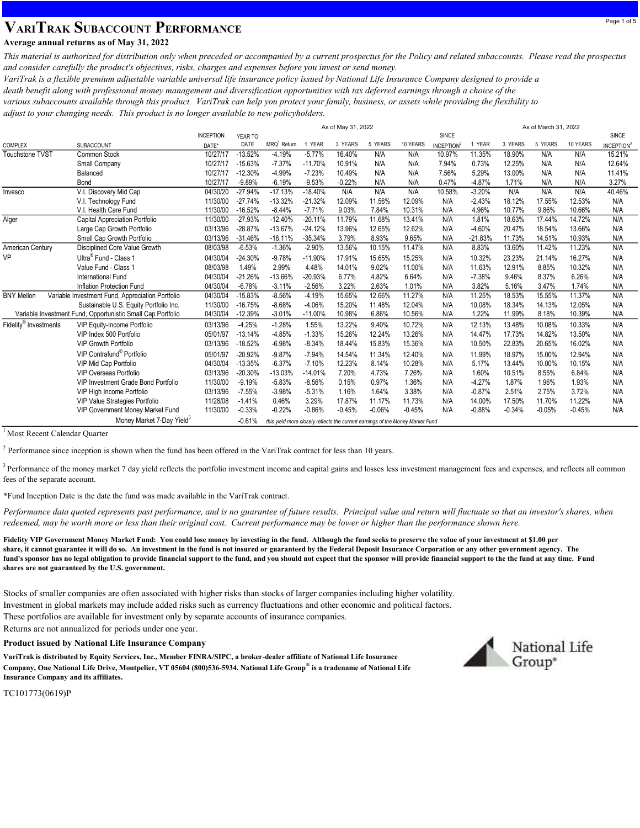# VARITRAK SUBACCOUNT PERFORMANCE

### Average annual returns as of May 31, 2022

This material is authorized for distribution only when preceded or accompanied by a current prospectus for the Policy and related subaccounts. Please read the prospectus and consider carefully the product's objectives, risks, charges and expenses before you invest or send money.

VariTrak is a flexible premium adjustable variable universal life insurance policy issued by National Life Insurance Company designed to provide a death benefit along with professional money management and diversification opportunities with tax deferred earnings through a choice of the various subaccounts available through this product. VariTrak can help you protect your family, business, or assets while providing the flexibility to adjust to your changing needs. This product is no longer available to new policyholders.

|                                                                                                                                     |                                                |                  |           | As of May 31, 2022 |           |          |          |          |                               |             |          | As of March 31, 2022 |          |                               |  |  |
|-------------------------------------------------------------------------------------------------------------------------------------|------------------------------------------------|------------------|-----------|--------------------|-----------|----------|----------|----------|-------------------------------|-------------|----------|----------------------|----------|-------------------------------|--|--|
|                                                                                                                                     |                                                | <b>INCEPTION</b> | YEAR TO   |                    |           |          |          |          | SINCE                         |             |          |                      |          | <b>SINCE</b>                  |  |  |
| <b>COMPLEX</b>                                                                                                                      | SUBACCOUNT                                     | DATE*            | DATE      | $MRQ1$ Return      | 1 YEAR    | 3 YEARS  | 5 YEARS  | 10 YEARS | <b>INCEPTION</b> <sup>2</sup> | <b>YEAR</b> | 3 YEARS  | 5 YEARS              | 10 YEARS | <b>INCEPTION</b> <sup>2</sup> |  |  |
| Touchstone TVST                                                                                                                     | <b>Common Stock</b>                            | 10/27/17         | $-13.52%$ | $-4.19%$           | $-5.77%$  | 16.40%   | N/A      | N/A      | 10.97%                        | 11.35%      | 18.90%   | N/A                  | N/A      | 15.21%                        |  |  |
|                                                                                                                                     | Small Company                                  | 10/27/17         | $-15.63%$ | $-7.37%$           | $-11.70%$ | 10.91%   | N/A      | N/A      | 7.94%                         | 0.73%       | 12.25%   | N/A                  | N/A      | 12.64%                        |  |  |
|                                                                                                                                     | Balanced                                       | 10/27/17         | $-12.30%$ | -4.99%             | $-7.23%$  | 10.49%   | N/A      | N/A      | 7.56%                         | 5.29%       | 13.00%   | N/A                  | N/A      | 11.41%                        |  |  |
|                                                                                                                                     | Bond                                           | 10/27/17         | $-9.89%$  | $-6.19%$           | $-9.53%$  | $-0.22%$ | N/A      | N/A      | 0.47%                         | $-4.87%$    | 1.71%    | N/A                  | N/A      | 3.27%                         |  |  |
| Invesco                                                                                                                             | V.I. Discovery Mid Cap                         | 04/30/20         | $-27.94%$ | $-17.13%$          | $-18.40%$ | N/A      | N/A      | N/A      | 10.58%                        | $-3.20%$    | N/A      | N/A                  | N/A      | 40.46%                        |  |  |
|                                                                                                                                     | V.I. Technology Fund                           | 11/30/00         | $-27.74%$ | $-13.32%$          | $-21.32%$ | 12.09%   | 11.56%   | 12.09%   | N/A                           | $-2.43%$    | 18.12%   | 17.55%               | 12.53%   | N/A                           |  |  |
|                                                                                                                                     | V.I. Health Care Fund                          | 11/30/00         | $-16.52%$ | $-8.44%$           | $-7.71%$  | 9.03%    | 7.84%    | 10.31%   | N/A                           | 4.96%       | 10.77%   | 9.86%                | 10.66%   | N/A                           |  |  |
| Alger                                                                                                                               | <b>Capital Appreciation Portfolio</b>          | 11/30/00         | $-27.93%$ | $-12.40%$          | $-20.11%$ | 11.79%   | 11.68%   | 13.41%   | N/A                           | 1.81%       | 18.63%   | 17.44%               | 14.72%   | N/A                           |  |  |
|                                                                                                                                     | Large Cap Growth Portfolio                     | 03/13/96         | $-28.87%$ | $-13.67%$          | $-24.12%$ | 13.96%   | 12.65%   | 12.62%   | N/A                           | $-4.60%$    | 20.47%   | 18.54%               | 13.66%   | N/A                           |  |  |
|                                                                                                                                     | Small Cap Growth Portfolio                     | 03/13/96         | $-31.46%$ | $-16.11%$          | $-35.34%$ | 3.79%    | 8.93%    | 9.65%    | N/A                           | $-21.83%$   | 11.73%   | 14.51%               | 10.93%   | N/A                           |  |  |
| American Century                                                                                                                    | Disciplined Core Value Growth                  | 08/03/98         | $-6.53%$  | $-1.36%$           | $-2.90%$  | 13.56%   | 10.15%   | 11.47%   | N/A                           | 8.83%       | 13.60%   | 11.42%               | 11.23%   | N/A                           |  |  |
| <b>VP</b>                                                                                                                           | Ultra <sup>®</sup> Fund - Class 1              | 04/30/04         | $-24.30%$ | $-9.78%$           | $-11.90%$ | 17.91%   | 15.65%   | 15.25%   | N/A                           | 10.32%      | 23.23%   | 21.14%               | 16.27%   | N/A                           |  |  |
|                                                                                                                                     | Value Fund - Class 1                           | 08/03/98         | 1.49%     | 2.99%              | 4.48%     | 14.01%   | 9.02%    | 11.00%   | N/A                           | 11.63%      | 12.91%   | 8.85%                | 10.32%   | N/A                           |  |  |
|                                                                                                                                     | <b>International Fund</b>                      | 04/30/04         | $-21.26%$ | $-13.66%$          | $-20.93%$ | 6.77%    | 4.82%    | 6.64%    | N/A                           | $-7.38%$    | 9.46%    | 8.37%                | 6.26%    | N/A                           |  |  |
|                                                                                                                                     | Inflation Protection Fund                      | 04/30/04         | $-6.78%$  | $-3.11%$           | $-2.56%$  | 3.22%    | 2.63%    | 1.01%    | N/A                           | 3.82%       | 5.16%    | 3.47%                | 1.74%    | N/A                           |  |  |
| <b>BNY Mellon</b><br>Variable                                                                                                       | <b>Investment Fund, Appreciation Portfolio</b> | 04/30/04         | $-15.83%$ | $-8.56%$           | $-4.19%$  | 15.65%   | 12.66%   | 11.27%   | N/A                           | 11.25%      | 18.53%   | 15.55%               | 11.37%   | N/A                           |  |  |
|                                                                                                                                     | Sustainable U.S. Equity Portfolio Inc.         | 11/30/00         | $-16.75%$ | $-8.68%$           | $-4.06%$  | 15.20%   | 11.48%   | 12.04%   | N/A                           | 10.08%      | 18.34%   | 14.13%               | 12.05%   | N/A                           |  |  |
| Variable Investment Fund, Opportunistic Small Cap Portfolio                                                                         |                                                | 04/30/04         | $-12.39%$ | $-3.01%$           | $-11.00%$ | 10.98%   | 6.86%    | 10.56%   | N/A                           | 1.22%       | 11.99%   | 8.18%                | 10.39%   | N/A                           |  |  |
| Fidelity <sup>®</sup> Investments                                                                                                   | VIP Equity-Income Portfolio                    | 03/13/96         | $-4.25%$  | $-1.28%$           | 1.55%     | 13.22%   | 9.40%    | 10.72%   | N/A                           | 12.13%      | 13.48%   | 10.08%               | 10.33%   | N/A                           |  |  |
|                                                                                                                                     | VIP Index 500 Portfolio                        | 05/01/97         | $-13.14%$ | $-4.85%$           | $-1.33%$  | 15.26%   | 12.24%   | 13.26%   | N/A                           | 14.47%      | 17.73%   | 14.82%               | 13.50%   | N/A                           |  |  |
|                                                                                                                                     | <b>VIP Growth Portfolio</b>                    | 03/13/96         | $-18.52%$ | $-6.98%$           | $-8.34%$  | 18.44%   | 15.83%   | 15.36%   | N/A                           | 10.50%      | 22.83%   | 20.65%               | 16.02%   | N/A                           |  |  |
|                                                                                                                                     | VIP Contrafund® Portfolio                      | 05/01/97         | $-20.92%$ | $-9.87%$           | $-7.94%$  | 14.54%   | 11.34%   | 12.40%   | N/A                           | 11.99%      | 18.97%   | 15.00%               | 12.94%   | N/A                           |  |  |
|                                                                                                                                     | VIP Mid Cap Portfolio                          | 04/30/04         | $-13.35%$ | $-6.37%$           | $-7.10%$  | 12.23%   | 8.14%    | 10.28%   | N/A                           | 5.17%       | 13.44%   | 10.00%               | 10.15%   | N/A                           |  |  |
|                                                                                                                                     | VIP Overseas Portfolio                         | 03/13/96         | $-20.30%$ | $-13.03%$          | $-14.01%$ | 7.20%    | 4.73%    | 7.26%    | N/A                           | 1.60%       | 10.51%   | 8.55%                | 6.84%    | N/A                           |  |  |
|                                                                                                                                     | VIP Investment Grade Bond Portfolio            | 11/30/00         | $-9.19%$  | $-5.83%$           | $-8.56%$  | 0.15%    | 0.97%    | 1.36%    | N/A                           | $-4.27%$    | 1.87%    | 1.96%                | 1.93%    | N/A                           |  |  |
|                                                                                                                                     | VIP High Income Portfolio                      | 03/13/96         | $-7.55%$  | $-3.98%$           | $-5.31%$  | 1.16%    | 1.64%    | 3.38%    | N/A                           | $-0.87%$    | 2.51%    | 2.75%                | 3.72%    | N/A                           |  |  |
|                                                                                                                                     | VIP Value Strategies Portfolio                 | 11/28/08         | $-1.41%$  | 0.46%              | 3.29%     | 17.87%   | 11.17%   | 11.73%   | N/A                           | 14.00%      | 17.50%   | 11.70%               | 11.22%   | N/A                           |  |  |
|                                                                                                                                     | VIP Government Money Market Fund               | 11/30/00         | $-0.33%$  | $-0.22%$           | $-0.86%$  | $-0.45%$ | $-0.06%$ | $-0.45%$ | N/A                           | $-0.88%$    | $-0.34%$ | $-0.05%$             | $-0.45%$ | N/A                           |  |  |
| Money Market 7-Day Yield <sup>3</sup><br>$-0.61%$<br>this yield more closely reflects the current earnings of the Money Market Fund |                                                |                  |           |                    |           |          |          |          |                               |             |          |                      |          |                               |  |  |

<sup>1</sup> Most Recent Calendar Quarter

<sup>2</sup> Performance since inception is shown when the fund has been offered in the VariTrak contract for less than 10 years.

<sup>3</sup> Performance of the money market 7 day yield reflects the portfolio investment income and capital gains and losses less investment management fees and expenses, and reflects all common fees of the separate account.

\*Fund Inception Date is the date the fund was made available in the VariTrak contract.

Performance data quoted represents past performance, and is no guarantee of future results. Principal value and return will fluctuate so that an investor's shares, when redeemed, may be worth more or less than their original cost. Current performance may be lower or higher than the performance shown here.

Fidelity VIP Government Money Market Fund: You could lose money by investing in the fund. Although the fund seeks to preserve the value of your investment at \$1.00 per share, it cannot guarantee it will do so. An investment in the fund is not insured or guaranteed by the Federal Deposit Insurance Corporation or any other government agency. The fund's sponsor has no legal obligation to provide financial support to the fund, and you should not expect that the sponsor will provide financial support to the the fund at any time. Fund shares are not guaranteed by the U.S. government.

Investment in global markets may include added risks such as currency fluctuations and other economic and political factors. Stocks of smaller companies are often associated with higher risks than stocks of larger companies including higher volatility. These portfolios are available for investment only by separate accounts of insurance companies. Returns are not annualized for periods under one year.

#### Product issued by National Life Insurance Company

VariTrak is distributed by Equity Services, Inc., Member FINRA/SIPC, a broker-dealer affiliate of National Life Insurance Company, One National Life Drive, Montpelier, VT 05604 (800)536-5934. National Life Group® is a tradename of National Life Insurance Company and its affiliates.



TC101773(0619)P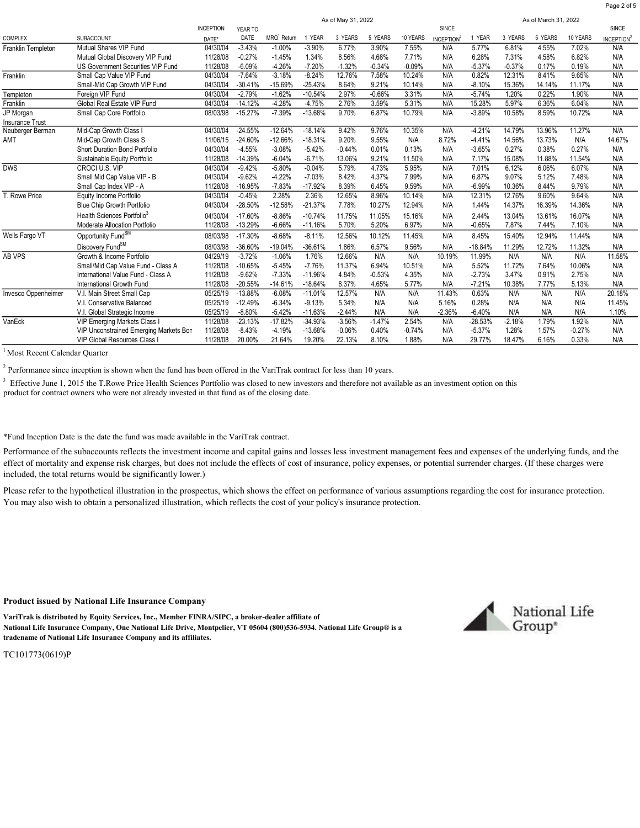|                        |                                        |                  |           | As of May 31, 2022      |           |          |          |          |                               | As of March 31, 2022 |          |         |          |                        |  |
|------------------------|----------------------------------------|------------------|-----------|-------------------------|-----------|----------|----------|----------|-------------------------------|----------------------|----------|---------|----------|------------------------|--|
|                        |                                        | <b>INCEPTION</b> | YEAR TO   |                         |           |          |          | SINCE    |                               |                      |          | SINCE   |          |                        |  |
| <b>COMPLEX</b>         | SUBACCOUNT                             | DATE*            | DATE      | MRQ <sup>1</sup> Return | 1 YEAR    | 3 YEARS  | 5 YEARS  | 10 YEARS | <b>INCEPTION</b> <sup>2</sup> | 1 YEAR               | 3 YEARS  | 5 YEARS | 10 YEARS | INCEPTION <sup>2</sup> |  |
| Franklin Templeton     | Mutual Shares VIP Fund                 | 04/30/04         | $-3.43%$  | $-1.00%$                | $-3.90%$  | 6.77%    | 3.90%    | 7.55%    | N/A                           | 5.77%                | 6.81%    | 4.55%   | 7.02%    | N/A                    |  |
|                        | Mutual Global Discovery VIP Fund       | 11/28/08         | $-0.27%$  | $-1.45%$                | 1.34%     | 8.56%    | 4.68%    | 7.71%    | N/A                           | 6.28%                | 7.31%    | 4.58%   | 6.82%    | N/A                    |  |
|                        | US Government Securities VIP Fund      | 11/28/08         | $-6.09%$  | $-4.26%$                | $-7.20%$  | $-1.32%$ | $-0.34%$ | $-0.09%$ | N/A                           | $-5.37%$             | $-0.37%$ | 0.17%   | 0.19%    | N/A                    |  |
| Franklin               | Small Cap Value VIP Fund               | 04/30/04         | $-7.64%$  | $-3.18%$                | $-8.24%$  | 12.76%   | 7.58%    | 10.24%   | N/A                           | 0.82%                | 12.31%   | 8.41%   | 9.65%    | N/A                    |  |
|                        | Small-Mid Cap Growth VIP Fund          | 04/30/04         | $-30.41%$ | $-15.69%$               | $-25.43%$ | 8.64%    | 9.21%    | 10.14%   | N/A                           | $-8.10%$             | 15.36%   | 14.14%  | 11.17%   | N/A                    |  |
| Templeton              | Foreign VIP Fund                       | 04/30/04         | $-2.79%$  | $-1.62%$                | $-10.54%$ | 2.97%    | $-0.66%$ | 3.31%    | N/A                           | $-5.74%$             | 1.20%    | 0.22%   | 1.90%    | N/A                    |  |
| Franklin               | Global Real Estate VIP Fund            | 04/30/04         | $-14.12%$ | $-4.28%$                | $-4.75%$  | 2.76%    | 3.59%    | 5.31%    | N/A                           | 15.28%               | 5.97%    | 6.36%   | 6.04%    | N/A                    |  |
| JP Morgan              | Small Cap Core Portfolio               | 08/03/98         | $-15.27%$ | $-7.39%$                | $-13.68%$ | 9.70%    | 6.87%    | 10.79%   | N/A                           | $-3.89%$             | 10.58%   | 8.59%   | 10.72%   | N/A                    |  |
| <b>Insurance Trust</b> |                                        |                  |           |                         |           |          |          |          |                               |                      |          |         |          |                        |  |
| Neuberger Berman       | Mid-Cap Growth Class I                 | 04/30/04         | $-24.55%$ | $-12.64%$               | $-18.14%$ | 9.42%    | 9.76%    | 10.35%   | N/A                           | $-4.21%$             | 14.79%   | 13.96%  | 11.27%   | N/A                    |  |
| AMT                    | Mid-Cap Growth Class S                 | 11/06/15         | $-24.60%$ | $-12.66%$               | $-18.31%$ | 9.20%    | 9.55%    | N/A      | 8.72%                         | $-4.41%$             | 14.56%   | 13.73%  | N/A      | 14.67%                 |  |
|                        | <b>Short Duration Bond Portfolio</b>   | 04/30/04         | $-4.55%$  | $-3.08%$                | $-5.42%$  | $-0.44%$ | 0.01%    | 0.13%    | N/A                           | $-3.65%$             | 0.27%    | 0.38%   | 0.27%    | N/A                    |  |
|                        | Sustainable Equity Portfolio           | 11/28/08         | $-14.39%$ | $-6.04%$                | $-6.71%$  | 13.06%   | 9.21%    | 11.50%   | N/A                           | 7.17%                | 15.08%   | 11.88%  | 11.54%   | N/A                    |  |
| <b>DWS</b>             | CROCI U.S. VIP                         | 04/30/04         | $-9.42%$  | $-5.80%$                | $-0.04%$  | 5.79%    | 4.73%    | 5.95%    | N/A                           | 7.01%                | 6.12%    | 6.06%   | 6.07%    | N/A                    |  |
|                        | Small Mid Cap Value VIP - B            | 04/30/04         | $-9.62%$  | $-4.22%$                | $-7.03%$  | 8.42%    | 4.37%    | 7.99%    | N/A                           | 6.87%                | 9.07%    | 5.12%   | 7.48%    | N/A                    |  |
|                        | Small Cap Index VIP - A                | 11/28/08         | $-16.95%$ | $-7.83%$                | $-17.92%$ | 8.39%    | 6.45%    | 9.59%    | N/A                           | $-6.99%$             | 10.36%   | 8.44%   | 9.79%    | N/A                    |  |
| T. Rowe Price          | Equity Income Portfolio                | 04/30/04         | $-0.45%$  | 2.28%                   | 2.36%     | 12.65%   | 8.96%    | 10.14%   | N/A                           | 12.31%               | 12.76%   | 9.60%   | 9.64%    | N/A                    |  |
|                        | Blue Chip Growth Portfolio             | 04/30/04         | $-28.50%$ | $-12.58%$               | $-21.37%$ | 7.78%    | 10.27%   | 12.94%   | N/A                           | 1.44%                | 14.37%   | 16.39%  | 14.36%   | N/A                    |  |
|                        | Health Sciences Portfolio3             | 04/30/04         | $-17.60%$ | $-8.86%$                | $-10.74%$ | 11.75%   | 11.05%   | 15.16%   | N/A                           | 2.44%                | 13.04%   | 13.61%  | 16.07%   | N/A                    |  |
|                        | Moderate Allocation Portfolio          | 11/28/08         | $-13.29%$ | $-6.66%$                | $-11.16%$ | 5.70%    | 5.20%    | 6.97%    | N/A                           | $-0.65%$             | 7.87%    | 7.44%   | 7.10%    | N/A                    |  |
| Wells Fargo VT         | Opportunity Fund <sup>SM</sup>         | 08/03/98         | $-17.30%$ | $-8.68%$                | $-8.11%$  | 12.56%   | 10.12%   | 11.45%   | N/A                           | 8.45%                | 15.40%   | 12.94%  | 11.44%   | N/A                    |  |
|                        | Discovery Fund <sup>SM</sup>           | 08/03/98         | $-36.60%$ | $-19.04%$               | $-36.61%$ | 1.86%    | 6.57%    | 9.56%    | N/A                           | $-18.84%$            | 11.29%   | 12.72%  | 11.32%   | N/A                    |  |
| <b>AB VPS</b>          | Growth & Income Portfolio              | 04/29/19         | $-3.72%$  | $-1.06%$                | 1.76%     | 12.66%   | N/A      | N/A      | 10.19%                        | 11.99%               | N/A      | N/A     | N/A      | 11.58%                 |  |
|                        | Small/Mid Cap Value Fund - Class A     | 11/28/08         | $-10.65%$ | $-5.45%$                | $-7.76%$  | 11.37%   | 6.94%    | 10.51%   | N/A                           | 5.52%                | 11.72%   | 7.64%   | 10.06%   | N/A                    |  |
|                        | International Value Fund - Class A     | 11/28/08         | $-9.62%$  | $-7.33%$                | $-11.96%$ | 4.84%    | $-0.53%$ | 4.35%    | N/A                           | $-2.73%$             | 3.47%    | 0.91%   | 2.75%    | N/A                    |  |
|                        | International Growth Fund              | 11/28/08         | $-20.55%$ | $-14.61%$               | $-18.64%$ | 8.37%    | 4.65%    | 5.77%    | N/A                           | $-7.21%$             | 10.38%   | 7.77%   | 5.13%    | N/A                    |  |
| Invesco Oppenheimer    | V.I. Main Street Small Cap             | 05/25/19         | $-13.88%$ | $-6.08%$                | $-11.01%$ | 12.57%   | N/A      | N/A      | 11.43%                        | 0.63%                | N/A      | N/A     | N/A      | 20.18%                 |  |
|                        | V.I. Conservative Balanced             | 05/25/19         | $-12.49%$ | $-6.34%$                | $-9.13%$  | 5.34%    | N/A      | N/A      | 5.16%                         | 0.28%                | N/A      | N/A     | N/A      | 11.45%                 |  |
|                        | V.I. Global Strategic Income           | 05/25/19         | $-8.80%$  | $-5.42%$                | $-11.63%$ | $-2.44%$ | N/A      | N/A      | $-2.36%$                      | $-6.40%$             | N/A      | N/A     | N/A      | 1.10%                  |  |
| VanEck                 | VIP Emerging Markets Class I           | 11/28/08         | $-23.13%$ | $-17.82%$               | $-34.93%$ | $-3.56%$ | $-1.47%$ | 2.54%    | N/A                           | $-28.53%$            | $-2.18%$ | 1.79%   | 1.92%    | N/A                    |  |
|                        | VIP Unconstrained Emerging Markets Bor | 11/28/08         | $-8.43%$  | $-4.19%$                | $-13.68%$ | $-0.06%$ | 0.40%    | $-0.74%$ | N/A                           | $-5.37%$             | 1.28%    | 1.57%   | $-0.27%$ | N/A                    |  |
|                        | VIP Global Resources Class             | 11/28/08         | 20.00%    | 21.64%                  | 19.20%    | 22.13%   | 8.10%    | 1.88%    | N/A                           | 29.77%               | 18.47%   | 6.16%   | 0.33%    | N/A                    |  |
|                        |                                        |                  |           |                         |           |          |          |          |                               |                      |          |         |          |                        |  |

<sup>1</sup> Most Recent Calendar Quarter

 $2^2$  Performance since inception is shown when the fund has been offered in the VariTrak contract for less than 10 years.

 $3$  Effective June 1, 2015 the T.Rowe Price Health Sciences Portfolio was closed to new investors and therefore not available as an investment option on this product for contract owners who were not already invested in that fund as of the closing date.

\*Fund Inception Date is the date the fund was made available in the VariTrak contract.

Performance of the subaccounts reflects the investment income and capital gains and losses less investment management fees and expenses of the underlying funds, and the effect of mortality and expense risk charges, but does not include the effects of cost of insurance, policy expenses, or potential surrender charges. (If these charges were included, the total returns would be significantly lower.)

Please refer to the hypothetical illustration in the prospectus, which shows the effect on performance of various assumptions regarding the cost for insurance protection. You may also wish to obtain a personalized illustration, which reflects the cost of your policy's insurance protection.

#### Product issued by National Life Insurance Company

VariTrak is distributed by Equity Services, Inc., Member FINRA/SIPC, a broker-dealer affiliate of National Life Insurance Company, One National Life Drive, Montpelier, VT 05604 (800)536-5934. National Life Group® is a tradename of National Life Insurance Company and its affiliates.



Page 2 of 5

TC101773(0619)P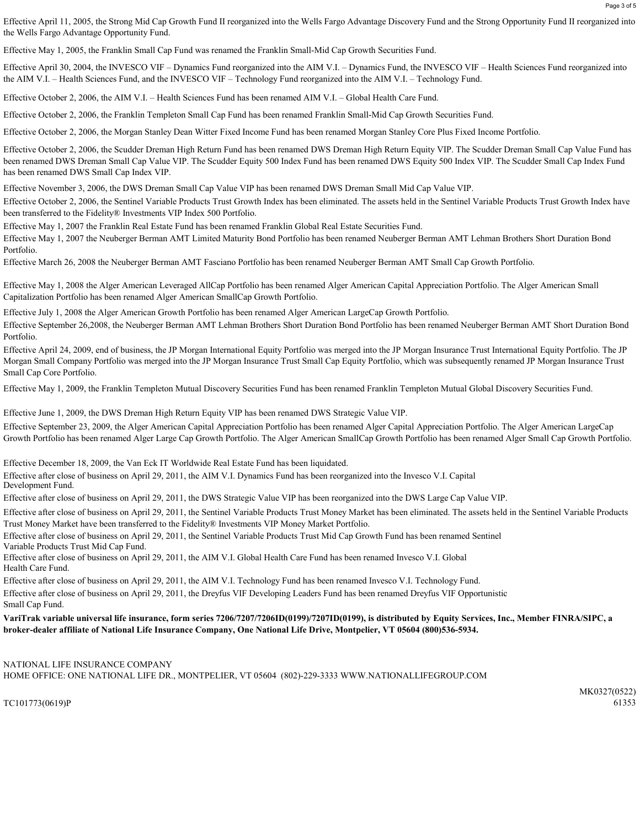Effective April 11, 2005, the Strong Mid Cap Growth Fund II reorganized into the Wells Fargo Advantage Discovery Fund and the Strong Opportunity Fund II reorganized into the Wells Fargo Advantage Opportunity Fund.

Effective May 1, 2005, the Franklin Small Cap Fund was renamed the Franklin Small-Mid Cap Growth Securities Fund.

Effective April 30, 2004, the INVESCO VIF – Dynamics Fund reorganized into the AIM V.I. – Dynamics Fund, the INVESCO VIF – Health Sciences Fund reorganized into the AIM V.I. – Health Sciences Fund, and the INVESCO VIF – Technology Fund reorganized into the AIM V.I. – Technology Fund.

Effective October 2, 2006, the AIM V.I. – Health Sciences Fund has been renamed AIM V.I. – Global Health Care Fund.

Effective October 2, 2006, the Franklin Templeton Small Cap Fund has been renamed Franklin Small-Mid Cap Growth Securities Fund.

Effective October 2, 2006, the Morgan Stanley Dean Witter Fixed Income Fund has been renamed Morgan Stanley Core Plus Fixed Income Portfolio.

Effective October 2, 2006, the Scudder Dreman High Return Fund has been renamed DWS Dreman High Return Equity VIP. The Scudder Dreman Small Cap Value Fund has been renamed DWS Dreman Small Cap Value VIP. The Scudder Equity 500 Index Fund has been renamed DWS Equity 500 Index VIP. The Scudder Small Cap Index Fund has been renamed DWS Small Cap Index VIP.

Effective November 3, 2006, the DWS Dreman Small Cap Value VIP has been renamed DWS Dreman Small Mid Cap Value VIP.

Effective October 2, 2006, the Sentinel Variable Products Trust Growth Index has been eliminated. The assets held in the Sentinel Variable Products Trust Growth Index have been transferred to the Fidelity® Investments VIP Index 500 Portfolio.

Effective May 1, 2007 the Franklin Real Estate Fund has been renamed Franklin Global Real Estate Securities Fund.

Effective May 1, 2007 the Neuberger Berman AMT Limited Maturity Bond Portfolio has been renamed Neuberger Berman AMT Lehman Brothers Short Duration Bond Portfolio.

Effective March 26, 2008 the Neuberger Berman AMT Fasciano Portfolio has been renamed Neuberger Berman AMT Small Cap Growth Portfolio.

Effective May 1, 2008 the Alger American Leveraged AllCap Portfolio has been renamed Alger American Capital Appreciation Portfolio. The Alger American Small Capitalization Portfolio has been renamed Alger American SmallCap Growth Portfolio.

Effective July 1, 2008 the Alger American Growth Portfolio has been renamed Alger American LargeCap Growth Portfolio.

Effective September 26,2008, the Neuberger Berman AMT Lehman Brothers Short Duration Bond Portfolio has been renamed Neuberger Berman AMT Short Duration Bond Portfolio.

Effective April 24, 2009, end of business, the JP Morgan International Equity Portfolio was merged into the JP Morgan Insurance Trust International Equity Portfolio. The JP Morgan Small Company Portfolio was merged into the JP Morgan Insurance Trust Small Cap Equity Portfolio, which was subsequently renamed JP Morgan Insurance Trust Small Cap Core Portfolio.

Effective May 1, 2009, the Franklin Templeton Mutual Discovery Securities Fund has been renamed Franklin Templeton Mutual Global Discovery Securities Fund.

Effective June 1, 2009, the DWS Dreman High Return Equity VIP has been renamed DWS Strategic Value VIP.

Effective September 23, 2009, the Alger American Capital Appreciation Portfolio has been renamed Alger Capital Appreciation Portfolio. The Alger American LargeCap Growth Portfolio has been renamed Alger Large Cap Growth Portfolio. The Alger American SmallCap Growth Portfolio has been renamed Alger Small Cap Growth Portfolio.

Effective December 18, 2009, the Van Eck IT Worldwide Real Estate Fund has been liquidated.

Effective after close of business on April 29, 2011, the AIM V.I. Dynamics Fund has been reorganized into the Invesco V.I. Capital Development Fund.

Effective after close of business on April 29, 2011, the DWS Strategic Value VIP has been reorganized into the DWS Large Cap Value VIP.

Effective after close of business on April 29, 2011, the Sentinel Variable Products Trust Money Market has been eliminated. The assets held in the Sentinel Variable Products Trust Money Market have been transferred to the Fidelity® Investments VIP Money Market Portfolio.

Effective after close of business on April 29, 2011, the Sentinel Variable Products Trust Mid Cap Growth Fund has been renamed Sentinel Variable Products Trust Mid Cap Fund.

Effective after close of business on April 29, 2011, the AIM V.I. Global Health Care Fund has been renamed Invesco V.I. Global Health Care Fund.

Effective after close of business on April 29, 2011, the AIM V.I. Technology Fund has been renamed Invesco V.I. Technology Fund.

Effective after close of business on April 29, 2011, the Dreyfus VIF Developing Leaders Fund has been renamed Dreyfus VIF Opportunistic Small Cap Fund.

VariTrak variable universal life insurance, form series 7206/7207/7206ID(0199)/7207ID(0199), is distributed by Equity Services, Inc., Member FINRA/SIPC, a broker-dealer affiliate of National Life Insurance Company, One National Life Drive, Montpelier, VT 05604 (800)536-5934.

#### NATIONAL LIFE INSURANCE COMPANY

HOME OFFICE: ONE NATIONAL LIFE DR., MONTPELIER, VT 05604 (802)-229-3333 WWW.NATIONALLIFEGROUP.COM

TC101773(0619)P 61353

MK0327(0522)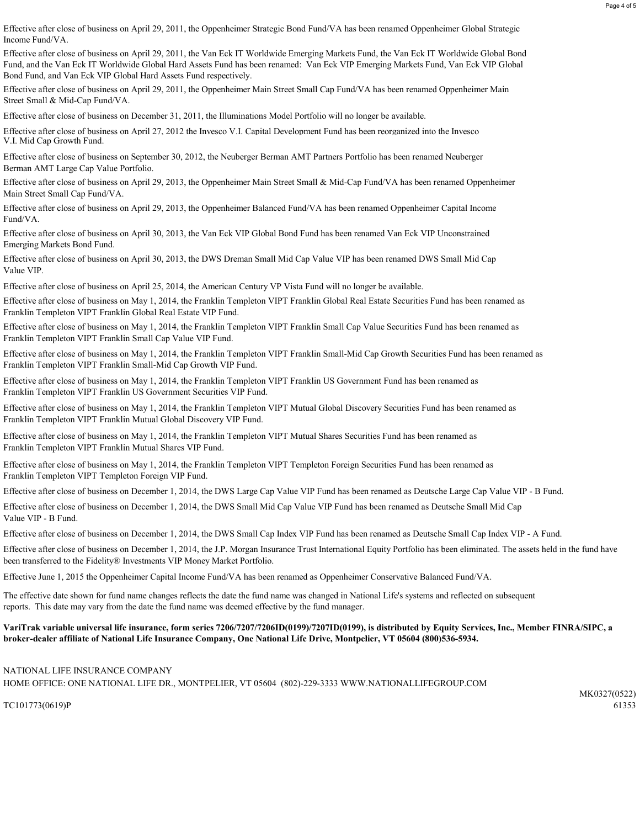Effective after close of business on April 29, 2011, the Oppenheimer Strategic Bond Fund/VA has been renamed Oppenheimer Global Strategic Income Fund/VA.

Effective after close of business on April 29, 2011, the Van Eck IT Worldwide Emerging Markets Fund, the Van Eck IT Worldwide Global Bond Fund, and the Van Eck IT Worldwide Global Hard Assets Fund has been renamed: Van Eck VIP Emerging Markets Fund, Van Eck VIP Global Bond Fund, and Van Eck VIP Global Hard Assets Fund respectively.

Effective after close of business on April 29, 2011, the Oppenheimer Main Street Small Cap Fund/VA has been renamed Oppenheimer Main Street Small & Mid-Cap Fund/VA.

Effective after close of business on December 31, 2011, the Illuminations Model Portfolio will no longer be available.

Effective after close of business on April 27, 2012 the Invesco V.I. Capital Development Fund has been reorganized into the Invesco V.I. Mid Cap Growth Fund.

Effective after close of business on September 30, 2012, the Neuberger Berman AMT Partners Portfolio has been renamed Neuberger Berman AMT Large Cap Value Portfolio.

Main Street Small Cap Fund/VA. Effective after close of business on April 29, 2013, the Oppenheimer Main Street Small & Mid-Cap Fund/VA has been renamed Oppenheimer

Fund/VA. Effective after close of business on April 29, 2013, the Oppenheimer Balanced Fund/VA has been renamed Oppenheimer Capital Income

Emerging Markets Bond Fund. Effective after close of business on April 30, 2013, the Van Eck VIP Global Bond Fund has been renamed Van Eck VIP Unconstrained

Value VIP. Effective after close of business on April 30, 2013, the DWS Dreman Small Mid Cap Value VIP has been renamed DWS Small Mid Cap

Effective after close of business on April 25, 2014, the American Century VP Vista Fund will no longer be available.

Franklin Templeton VIPT Franklin Global Real Estate VIP Fund. Effective after close of business on May 1, 2014, the Franklin Templeton VIPT Franklin Global Real Estate Securities Fund has been renamed as

Franklin Templeton VIPT Franklin Small Cap Value VIP Fund. Effective after close of business on May 1, 2014, the Franklin Templeton VIPT Franklin Small Cap Value Securities Fund has been renamed as

Franklin Templeton VIPT Franklin Small-Mid Cap Growth VIP Fund. Effective after close of business on May 1, 2014, the Franklin Templeton VIPT Franklin Small-Mid Cap Growth Securities Fund has been renamed as

Franklin Templeton VIPT Franklin US Government Securities VIP Fund. Effective after close of business on May 1, 2014, the Franklin Templeton VIPT Franklin US Government Fund has been renamed as

Franklin Templeton VIPT Franklin Mutual Global Discovery VIP Fund. Effective after close of business on May 1, 2014, the Franklin Templeton VIPT Mutual Global Discovery Securities Fund has been renamed as

Franklin Templeton VIPT Franklin Mutual Shares VIP Fund. Effective after close of business on May 1, 2014, the Franklin Templeton VIPT Mutual Shares Securities Fund has been renamed as

Franklin Templeton VIPT Templeton Foreign VIP Fund. Effective after close of business on May 1, 2014, the Franklin Templeton VIPT Templeton Foreign Securities Fund has been renamed as

Effective after close of business on December 1, 2014, the DWS Large Cap Value VIP Fund has been renamed as Deutsche Large Cap Value VIP - B Fund.

Effective after close of business on December 1, 2014, the DWS Small Mid Cap Value VIP Fund has been renamed as Deutsche Small Mid Cap Value VIP - B Fund.

Effective after close of business on December 1, 2014, the DWS Small Cap Index VIP Fund has been renamed as Deutsche Small Cap Index VIP - A Fund.

Effective after close of business on December 1, 2014, the J.P. Morgan Insurance Trust International Equity Portfolio has been eliminated. The assets held in the fund have been transferred to the Fidelity® Investments VIP Money Market Portfolio.

Effective June 1, 2015 the Oppenheimer Capital Income Fund/VA has been renamed as Oppenheimer Conservative Balanced Fund/VA.

The effective date shown for fund name changes reflects the date the fund name was changed in National Life's systems and reflected on subsequent reports. This date may vary from the date the fund name was deemed effective by the fund manager.

VariTrak variable universal life insurance, form series 7206/7207/7206ID(0199)/7207ID(0199), is distributed by Equity Services, Inc., Member FINRA/SIPC, a broker-dealer affiliate of National Life Insurance Company, One National Life Drive, Montpelier, VT 05604 (800)536-5934.

### NATIONAL LIFE INSURANCE COMPANY

HOME OFFICE: ONE NATIONAL LIFE DR., MONTPELIER, VT 05604 (802)-229-3333 WWW.NATIONALLIFEGROUP.COM

TC101773(0619)P 61353

MK0327(0522)